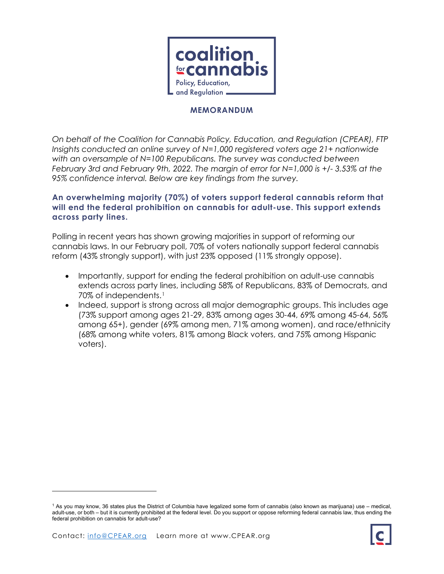

## **MEMORANDUM**

*On behalf of the Coalition for Cannabis Policy, Education, and Regulation (CPEAR), FTP Insights conducted an online survey of N=1,000 registered voters age 21+ nationwide*  with an oversample of N=100 Republicans. The survey was conducted between *February 3rd and February 9th, 2022. The margin of error for N=1,000 is +/- 3.53% at the 95% confidence interval. Below are key findings from the survey.*

## **An overwhelming majority (70%) of voters support federal cannabis reform that will end the federal prohibition on cannabis for adult-use. This support extends across party lines.**

Polling in recent years has shown growing majorities in support of reforming our cannabis laws. In our February poll, 70% of voters nationally support federal cannabis reform (43% strongly support), with just 23% opposed (11% strongly oppose).

- Importantly, support for ending the federal prohibition on adult-use cannabis extends across party lines, including 58% of Republicans, 83% of Democrats, and 70% of independents.[1](#page-0-0)
- Indeed, support is strong across all major demographic groups. This includes age (73% support among ages 21-29, 83% among ages 30-44, 69% among 45-64, 56% among 65+), gender (69% among men, 71% among women), and race/ethnicity (68% among white voters, 81% among Black voters, and 75% among Hispanic voters).



<span id="page-0-0"></span><sup>1</sup> As you may know, 36 states plus the District of Columbia have legalized some form of cannabis (also known as marijuana) use – medical, adult-use, or both – but it is currently prohibited at the federal level. Do you support or oppose reforming federal cannabis law, thus ending the federal prohibition on cannabis for adult-use?